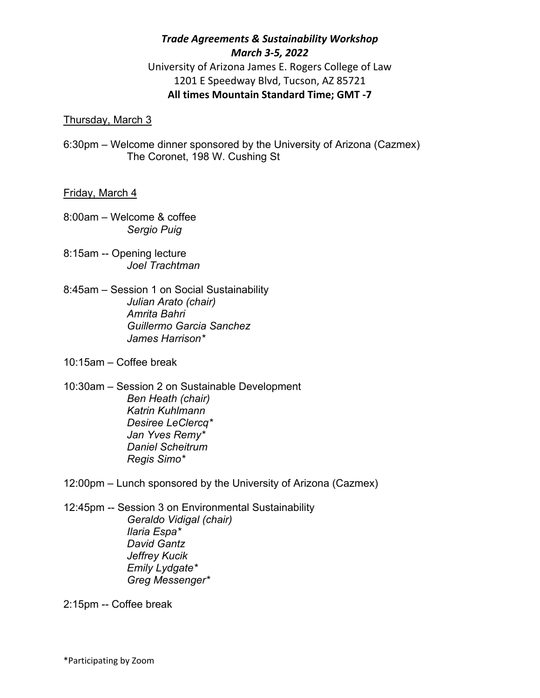# *Trade Agreements & Sustainability Workshop March 3‐5, 2022* University of Arizona James E. Rogers College of Law

1201 E Speedway Blvd, Tucson, AZ 85721

## **All times Mountain Standard Time; GMT ‐7**

## Thursday, March 3

6:30pm – Welcome dinner sponsored by the University of Arizona (Cazmex) The Coronet, 198 W. Cushing St

#### Friday, March 4

- 8:00am Welcome & coffee *Sergio Puig*
- 8:15am -- Opening lecture *Joel Trachtman*
- 8:45am Session 1 on Social Sustainability *Julian Arato (chair) Amrita Bahri Guillermo Garcia Sanchez James Harrison\**
- 10:15am Coffee break
- 10:30am Session 2 on Sustainable Development *Ben Heath (chair) Katrin Kuhlmann Desiree LeClercq\* Jan Yves Remy\* Daniel Scheitrum Regis Simo\**
- 12:00pm Lunch sponsored by the University of Arizona (Cazmex)
- 12:45pm -- Session 3 on Environmental Sustainability *Geraldo Vidigal (chair) Ilaria Espa\* David Gantz Jeffrey Kucik Emily Lydgate\* Greg Messenger\**

2:15pm -- Coffee break